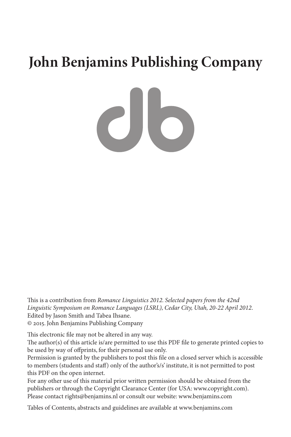# **John Benjamins Publishing Company**

CIO

This is a contribution from *Romance Linguistics 2012. Selected papers from the 42nd Linguistic Symposium on Romance Languages (LSRL), Cedar City, Utah, 20-22 April 2012*. Edited by Jason Smith and Tabea Ihsane. © 2015. John Benjamins Publishing Company

This electronic file may not be altered in any way.

The author(s) of this article is/are permitted to use this PDF file to generate printed copies to be used by way of offprints, for their personal use only.

Permission is granted by the publishers to post this file on a closed server which is accessible to members (students and staff) only of the author's/s' institute, it is not permitted to post this PDF on the open internet.

For any other use of this material prior written permission should be obtained from the publishers or through the Copyright Clearance Center (for USA: [www.copyright.com](http://www.copyright.com)). Please contact [rights@benjamins.nl](mailto:rights@benjamins.nl) or consult our website: [www.benjamins.com](http://www.benjamins.com)

Tables of Contents, abstracts and guidelines are available at [www.benjamins.com](http://www.benjamins.com)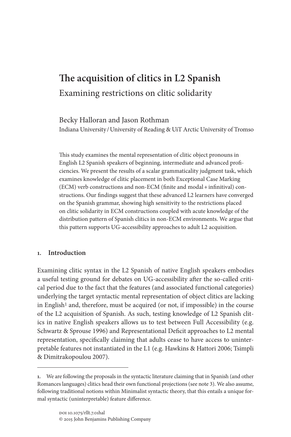# **The acquisition of clitics in L2 Spanish** Examining restrictions on clitic solidarity

Becky Halloran and Jason Rothman Indiana University /University of Reading & UiT Arctic University of Tromso

This study examines the mental representation of clitic object pronouns in English L2 Spanish speakers of beginning, intermediate and advanced proficiencies. We present the results of a scalar grammaticality judgment task, which examines knowledge of clitic placement in both Exceptional Case Marking (ECM) verb constructions and non-ECM (finite and modal+infinitival) constructions. Our findings suggest that these advanced L2 learners have converged on the Spanish grammar, showing high sensitivity to the restrictions placed on clitic solidarity in ECM constructions coupled with acute knowledge of the distribution pattern of Spanish clitics in non-ECM environments. We argue that this pattern supports UG-accessibility approaches to adult L2 acquisition.

# **1. Introduction**

Examining clitic syntax in the L2 Spanish of native English speakers embodies a useful testing ground for debates on UG-accessibility after the so-called critical period due to the fact that the features (and associated functional categories) underlying the target syntactic mental representation of object clitics are lacking in English<sup>1</sup> and, therefore, must be acquired (or not, if impossible) in the course of the L2 acquisition of Spanish. As such, testing knowledge of L2 Spanish clitics in native English speakers allows us to test between Full Accessibility (e.g. Schwartz & Sprouse 1996) and Representational Deficit approaches to L2 mental representation, specifically claiming that adults cease to have access to uninterpretable features not instantiated in the L1 (e.g. Hawkins & Hattori 2006; Tsimpli & Dimitrakopoulou 2007).

**<sup>1.</sup>** We are following the proposals in the syntactic literature claiming that in Spanish (and other Romances languages) clitics head their own functional projections (see note 3). We also assume, following traditional notions within Minimalist syntactic theory, that this entails a unique formal syntactic (uninterpretable) feature difference.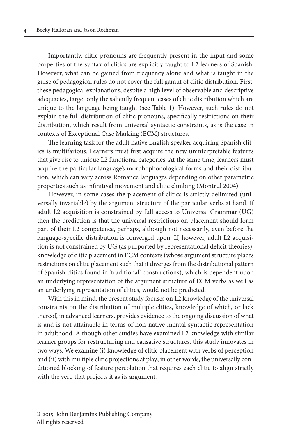Importantly, clitic pronouns are frequently present in the input and some properties of the syntax of clitics are explicitly taught to L2 learners of Spanish. However, what can be gained from frequency alone and what is taught in the guise of pedagogical rules do not cover the full gamut of clitic distribution. First, these pedagogical explanations, despite a high level of observable and descriptive adequacies, target only the saliently frequent cases of clitic distribution which are unique to the language being taught (see Table 1). However, such rules do not explain the full distribution of clitic pronouns, specifically restrictions on their distribution, which result from universal syntactic constraints, as is the case in contexts of Exceptional Case Marking (ECM) structures.

The learning task for the adult native English speaker acquiring Spanish clitics is multifarious. Learners must first acquire the new uninterpretable features that give rise to unique L2 functional categories. At the same time, learners must acquire the particular language's morphophonological forms and their distribution, which can vary across Romance languages depending on other parametric properties such as infinitival movement and clitic climbing (Montrul 2004).

However, in some cases the placement of clitics is strictly delimited (universally invariable) by the argument structure of the particular verbs at hand. If adult L2 acquisition is constrained by full access to Universal Grammar (UG) then the prediction is that the universal restrictions on placement should form part of their L2 competence, perhaps, although not necessarily, even before the language-specific distribution is converged upon. If, however, adult L2 acquisition is not constrained by UG (as purported by representational deficit theories), knowledge of clitic placement in ECM contexts (whose argument structure places restrictions on clitic placement such that it diverges from the distributional pattern of Spanish clitics found in 'traditional' constructions), which is dependent upon an underlying representation of the argument structure of ECM verbs as well as an underlying representation of clitics, would not be predicted.

With this in mind, the present study focuses on L2 knowledge of the universal constraints on the distribution of multiple clitics, knowledge of which, or lack thereof, in advanced learners, provides evidence to the ongoing discussion of what is and is not attainable in terms of non-native mental syntactic representation in adulthood. Although other studies have examined L2 knowledge with similar learner groups for restructuring and causative structures, this study innovates in two ways. We examine (i) knowledge of clitic placement with verbs of perception and (ii) with multiple clitic projections at play; in other words, the universally conditioned blocking of feature percolation that requires each clitic to align strictly with the verb that projects it as its argument.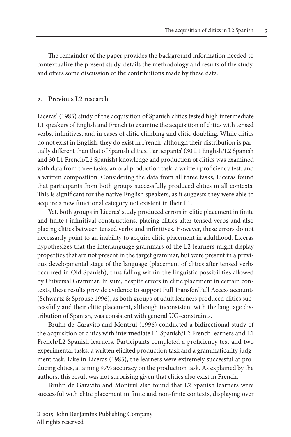The remainder of the paper provides the background information needed to contextualize the present study, details the methodology and results of the study, and offers some discussion of the contributions made by these data.

#### **2. Previous L2 research**

Liceras' (1985) study of the acquisition of Spanish clitics tested high intermediate L1 speakers of English and French to examine the acquisition of clitics with tensed verbs, infinitives, and in cases of clitic climbing and clitic doubling. While clitics do not exist in English, they do exist in French, although their distribution is partially different than that of Spanish clitics. Participants' (30 L1 English/L2 Spanish and 30 L1 French/L2 Spanish) knowledge and production of clitics was examined with data from three tasks: an oral production task, a written proficiency test, and a written composition. Considering the data from all three tasks, Liceras found that participants from both groups successfully produced clitics in all contexts. This is significant for the native English speakers, as it suggests they were able to acquire a new functional category not existent in their L1.

Yet, both groups in Liceras' study produced errors in clitic placement in finite and finite + infinitival constructions, placing clitics after tensed verbs and also placing clitics between tensed verbs and infinitives. However, these errors do not necessarily point to an inability to acquire clitic placement in adulthood. Liceras hypothesizes that the interlanguage grammars of the L2 learners might display properties that are not present in the target grammar, but were present in a previous developmental stage of the language (placement of clitics after tensed verbs occurred in Old Spanish), thus falling within the linguistic possibilities allowed by Universal Grammar. In sum, despite errors in clitic placement in certain contexts, these results provide evidence to support Full Transfer/Full Access accounts (Schwartz & Sprouse 1996), as both groups of adult learners produced clitics successfully and their clitic placement, although inconsistent with the language distribution of Spanish, was consistent with general UG-constraints.

Bruhn de Garavito and Montrul (1996) conducted a bidirectional study of the acquisition of clitics with intermediate L1 Spanish/L2 French learners and L1 French/L2 Spanish learners. Participants completed a proficiency test and two experimental tasks: a written elicited production task and a grammaticality judgment task. Like in Liceras (1985), the learners were extremely successful at producing clitics, attaining 97% accuracy on the production task. As explained by the authors, this result was not surprising given that clitics also exist in French.

Bruhn de Garavito and Montrul also found that L2 Spanish learners were successful with clitic placement in finite and non-finite contexts, displaying over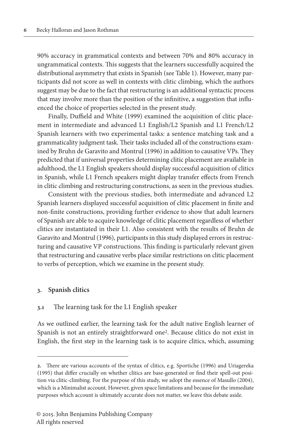90% accuracy in grammatical contexts and between 70% and 80% accuracy in ungrammatical contexts. This suggests that the learners successfully acquired the distributional asymmetry that exists in Spanish (see Table 1). However, many participants did not score as well in contexts with clitic climbing, which the authors suggest may be due to the fact that restructuring is an additional syntactic process that may involve more than the position of the infinitive, a suggestion that influenced the choice of properties selected in the present study.

Finally, Duffield and White (1999) examined the acquisition of clitic placement in intermediate and advanced L1 English/L2 Spanish and L1 French/L2 Spanish learners with two experimental tasks: a sentence matching task and a grammaticality judgment task. Their tasks included all of the constructions examined by Bruhn de Garavito and Montrul (1996) in addition to causative VPs. They predicted that if universal properties determining clitic placement are available in adulthood, the L1 English speakers should display successful acquisition of clitics in Spanish, while L1 French speakers might display transfer effects from French in clitic climbing and restructuring constructions, as seen in the previous studies.

Consistent with the previous studies, both intermediate and advanced L2 Spanish learners displayed successful acquisition of clitic placement in finite and non-finite constructions, providing further evidence to show that adult learners of Spanish are able to acquire knowledge of clitic placement regardless of whether clitics are instantiated in their L1. Also consistent with the results of Bruhn de Garavito and Montrul (1996), participants in this study displayed errors in restructuring and causative VP constructions. This finding is particularly relevant given that restructuring and causative verbs place similar restrictions on clitic placement to verbs of perception, which we examine in the present study.

#### **3. Spanish clitics**

#### **3.1** The learning task for the L1 English speaker

As we outlined earlier, the learning task for the adult native English learner of Spanish is not an entirely straightforward one2. Because clitics do not exist in English, the first step in the learning task is to acquire clitics, which, assuming

**<sup>2.</sup>** There are various accounts of the syntax of clitics, e.g. Sportiche (1996) and Uriagereka (1995) that differ crucially on whether clitics are base-generated or find their spell-out position via clitic-climbing. For the purpose of this study, we adopt the essence of Masullo (2004), which is a Minimalist account. However, given space limitations and because for the immediate purposes which account is ultimately accurate does not matter, we leave this debate aside.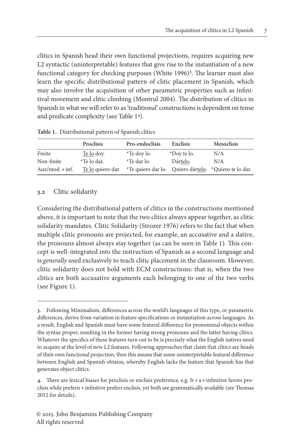clitics in Spanish head their own functional projections, requires acquiring new L2 syntactic (uninterpretable) features that give rise to the instantiation of a new functional category for checking purposes (White 1996)<sup>3</sup>. The learner must also learn the specific distributional pattern of clitic placement in Spanish, which may also involve the acquisition of other parametric properties such as infinitival movement and clitic climbing (Montrul 2004). The distribution of clitics in Spanish in what we will refer to as 'traditional' constructions is dependent on tense and predicate complexity (see Table 14).

|                  | Proclisis         | Pro-endoclisis      | Enclisis    | <b>Mesoclisis</b>                                     |
|------------------|-------------------|---------------------|-------------|-------------------------------------------------------|
| Finite           | Te lo dov.        | <i>*</i> Te doy lo. | *Doy te lo. | N/A                                                   |
| Non-finite       | *Te lo dar.       | *Te dar lo.         | Dártelo.    | N/A                                                   |
| $Aux/mol + inf.$ | Te lo quiero dar. |                     |             | *Te quiero dar lo. Quiero dártelo. *Quiero te lo dar. |

#### **3.2** Clitic solidarity

Considering the distributional pattern of clitics in the constructions mentioned above, it is important to note that the two clitics always appear together, as clitic solidarity mandates. Clitic Solidarity (Strozer 1976) refers to the fact that when multiple clitic pronouns are projected, for example, an accusative and a dative, the pronouns almost always stay together (as can be seen in Table 1). This concept is well-integrated into the instruction of Spanish as a second language and is *generally* used exclusively to teach clitic placement in the classroom. However, clitic solidarity does not hold with ECM constructions: that is, when the two clitics are both accusative arguments each belonging to one of the two verbs (see Figure 1).

**<sup>3.</sup>** Following Minimalism, differences across the world's languages of this type, or parametric differences, derive from variation in feature specifications or instantiation across languages. As a result, English and Spanish must have some featural difference for pronominal objects within the syntax proper, resulting in the former having strong pronouns and the latter having clitics. Whatever the specifics of these features turn out to be is precisely what the English natives need to acquire at the level of new L2 features. Following approaches that claim that clitics are heads of their own functional projection, then this means that some uninterpretable featural difference between English and Spanish obtains, whereby English lacks the feature that Spanish has that generates object clitics.

**<sup>4.</sup>** There are lexical biases for proclisis or enclisis preference, e.g. Ir+a+infinitive favors proclisis while preferir+infinitive prefers enclisis, yet both are grammatically available (see Thomas 2012 for details).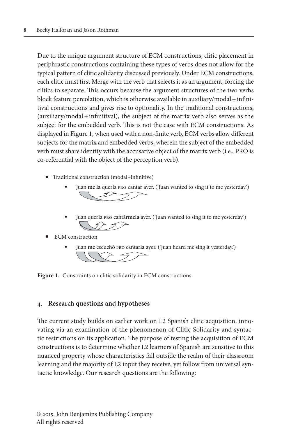Due to the unique argument structure of ECM constructions, clitic placement in periphrastic constructions containing these types of verbs does not allow for the typical pattern of clitic solidarity discussed previously. Under ECM constructions, each clitic must first Merge with the verb that selects it as an argument, forcing the clitics to separate. This occurs because the argument structures of the two verbs block feature percolation, which is otherwise available in auxiliary/modal+infinitival constructions and gives rise to optionality. In the traditional constructions, (auxiliary/modal+infinitival), the subject of the matrix verb also serves as the subject for the embedded verb. This is not the case with ECM constructions. As displayed in Figure 1, when used with a non-finite verb, ECM verbs allow different subjects for the matrix and embedded verbs, wherein the subject of the embedded verb must share identity with the accusative object of the matrix verb (i.e., PRO is co-referential with the object of the perception verb).

- $\blacksquare$  Traditional construction (modal+infinitive)
	- Juan **me la** quería pro cantar ayer. ('Juan wanted to sing it to me yesterday.')
	- Juan quería pro cantár**mela** ayer. ('Juan wanted to sing it to me yesterday.') - 5 )
- ECM construction
	- Juan **me** escuchó pro cantar**la** ayer. ('Juan heard me sing it yesterday.')

**Figure 1.** Constraints on clitic solidarity in ECM constructions

#### **4. Research questions and hypotheses**

The current study builds on earlier work on L2 Spanish clitic acquisition, innovating via an examination of the phenomenon of Clitic Solidarity and syntactic restrictions on its application. The purpose of testing the acquisition of ECM constructions is to determine whether L2 learners of Spanish are sensitive to this nuanced property whose characteristics fall outside the realm of their classroom learning and the majority of L2 input they receive, yet follow from universal syntactic knowledge. Our research questions are the following: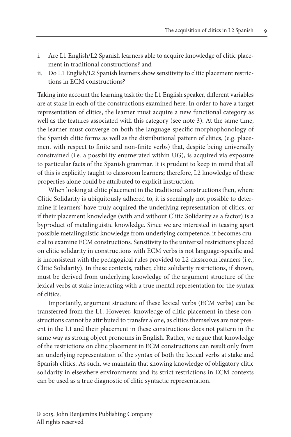- i. Are L1 English/L2 Spanish learners able to acquire knowledge of clitic placement in traditional constructions? and
- ii. Do L1 English/L2 Spanish learners show sensitivity to clitic placement restrictions in ECM constructions?

Taking into account the learning task for the L1 English speaker, different variables are at stake in each of the constructions examined here. In order to have a target representation of clitics, the learner must acquire a new functional category as well as the features associated with this category (see note 3). At the same time, the learner must converge on both the language-specific morphophonology of the Spanish clitic forms as well as the distributional pattern of clitics, (e.g. placement with respect to finite and non-finite verbs) that, despite being universally constrained (i.e. a possibility enumerated within UG), is acquired via exposure to particular facts of the Spanish grammar. It is prudent to keep in mind that all of this is explicitly taught to classroom learners; therefore, L2 knowledge of these properties alone could be attributed to explicit instruction.

When looking at clitic placement in the traditional constructions then, where Clitic Solidarity is ubiquitously adhered to, it is seemingly not possible to determine if learners' have truly acquired the underlying representation of clitics, or if their placement knowledge (with and without Clitic Solidarity as a factor) is a byproduct of metalinguistic knowledge. Since we are interested in teasing apart possible metalinguistic knowledge from underlying competence, it becomes crucial to examine ECM constructions. Sensitivity to the universal restrictions placed on clitic solidarity in constructions with ECM verbs is not language-specific and is inconsistent with the pedagogical rules provided to L2 classroom learners (i.e., Clitic Solidarity). In these contexts, rather, clitic solidarity restrictions, if shown, must be derived from underlying knowledge of the argument structure of the lexical verbs at stake interacting with a true mental representation for the syntax of clitics.

Importantly, argument structure of these lexical verbs (ECM verbs) can be transferred from the L1. However, knowledge of clitic placement in these constructions cannot be attributed to transfer alone, as clitics themselves are not present in the L1 and their placement in these constructions does not pattern in the same way as strong object pronouns in English. Rather, we argue that knowledge of the restrictions on clitic placement in ECM constructions can result only from an underlying representation of the syntax of both the lexical verbs at stake and Spanish clitics. As such, we maintain that showing knowledge of obligatory clitic solidarity in elsewhere environments and its strict restrictions in ECM contexts can be used as a true diagnostic of clitic syntactic representation.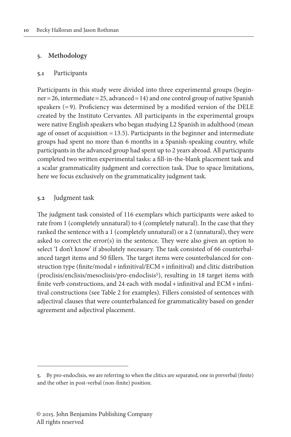# **5. Methodology**

### **5.1** Participants

Participants in this study were divided into three experimental groups (beginner=26, intermediate=25, advanced=14) and one control group of native Spanish speakers (=9). Proficiency was determined by a modified version of the DELE created by the Instituto Cervantes. All participants in the experimental groups were native English speakers who began studying L2 Spanish in adulthood (mean age of onset of acquisition  $=13.5$ ). Participants in the beginner and intermediate groups had spent no more than 6 months in a Spanish-speaking country, while participants in the advanced group had spent up to 2 years abroad. All participants completed two written experimental tasks: a fill-in-the-blank placement task and a scalar grammaticality judgment and correction task. Due to space limitations, here we focus exclusively on the grammaticality judgment task.

## **5.2** Judgment task

The judgment task consisted of 116 exemplars which participants were asked to rate from 1 (completely unnatural) to 4 (completely natural). In the case that they ranked the sentence with a 1 (completely unnatural) or a 2 (unnatural), they were asked to correct the error(s) in the sentence. They were also given an option to select 'I don't know' if absolutely necessary. The task consisted of 66 counterbalanced target items and 50 fillers. The target items were counterbalanced for construction type (finite/modal+infinitival/ECM+infinitival) and clitic distribution (proclisis/enclisis/mesoclisis/pro-endoclisis5), resulting in 18 target items with finite verb constructions, and 24 each with modal + infinitival and ECM + infinitival constructions (see Table 2 for examples). Fillers consisted of sentences with adjectival clauses that were counterbalanced for grammaticality based on gender agreement and adjectival placement.

**<sup>5.</sup>** By pro-endoclisis, we are referring to when the clitics are separated, one in preverbal (finite) and the other in post-verbal (non-finite) position.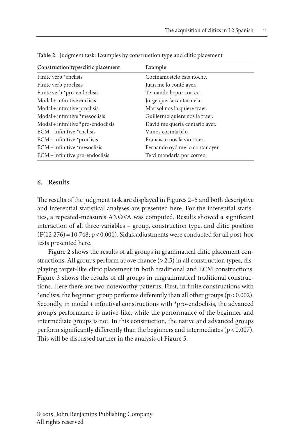| Example                         |  |
|---------------------------------|--|
|                                 |  |
| Cocinámostelo esta noche.       |  |
| Juan me lo contó ayer.          |  |
| Te mando la por correo.         |  |
| Jorge quería cantármela.        |  |
| Marisol nos la quiere traer.    |  |
| Guillermo quiere nos la traer.  |  |
| David me quería contarlo ayer.  |  |
| Vimos cocinártelo.              |  |
| Francisco nos la vio traer.     |  |
| Fernando oyó me lo contar ayer. |  |
| Te vi mandarla por correo.      |  |
|                                 |  |

**Table 2.** Judgment task: Examples by construction type and clitic placement

#### **6. Results**

The results of the judgment task are displayed in Figures 2–5 and both descriptive and inferential statistical analyses are presented here. For the inferential statistics, a repeated-measures ANOVA was computed. Results showed a significant interaction of all three variables – group, construction type, and clitic position  $(F(12,276)=10.748; p<0.001)$ . Sidak adjustments were conducted for all post-hoc tests presented here.

Figure 2 shows the results of all groups in grammatical clitic placement constructions. All groups perform above chance (> 2.5) in all construction types, displaying target-like clitic placement in both traditional and ECM constructions. Figure 3 shows the results of all groups in ungrammatical traditional constructions. Here there are two noteworthy patterns. First, in finite constructions with \*enclisis, the beginner group performs differently than all other groups ( $p < 0.002$ ). Secondly, in modal + infinitival constructions with \*pro-endoclisis, the advanced group's performance is native-like, while the performance of the beginner and intermediate groups is not. In this construction, the native and advanced groups perform significantly differently than the beginners and intermediates ( $p < 0.007$ ). This will be discussed further in the analysis of Figure 5.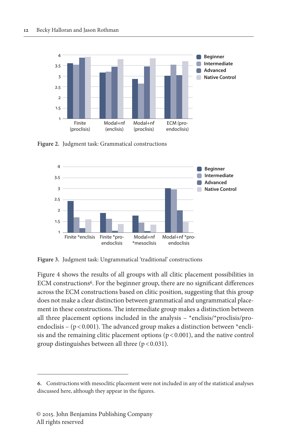

**Figure 2.** Judgment task: Grammatical constructions



**Figure 3.** Judgment task: Ungrammatical 'traditional' constructions

Figure 4 shows the results of all groups with all clitic placement possibilities in ECM constructions<sup>6</sup>. For the beginner group, there are no significant differences across the ECM constructions based on clitic position, suggesting that this group does not make a clear distinction between grammatical and ungrammatical placement in these constructions. The intermediate group makes a distinction between all three placement options included in the analysis –  $*$ enclisis/ $*$ proclisis/proendoclisis – ( $p$ <0.001). The advanced group makes a distinction between \*enclisis and the remaining clitic placement options  $(p < 0.001)$ , and the native control group distinguishes between all three  $(p < 0.031)$ .

**<sup>6.</sup>** Constructions with mesoclitic placement were not included in any of the statistical analyses discussed here, although they appear in the figures.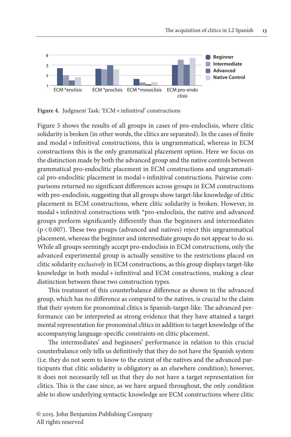

**Figure 4.** Judgment Task: 'ECM+infinitival' constructions

Figure 5 shows the results of all groups in cases of pro-endoclisis, where clitic solidarity is broken (in other words, the clitics are separated). In the cases of finite and modal+infinitival constructions, this is ungrammatical, whereas in ECM constructions this is the only grammatical placement option. Here we focus on the distinction made by both the advanced group and the native controls between grammatical pro-endoclitic placement in ECM constructions and ungrammatical pro-endoclitic placement in modal+infinitival constructions. Pairwise comparisons returned no significant differences across groups in ECM constructions with pro-endoclisis, suggesting that all groups show target-like knowledge of clitic placement in ECM constructions, where clitic solidarity is broken. However, in  $modal + infinitival$  constructions with  $*$ pro-endoclisis, the native and advanced groups perform significantly differently than the beginners and intermediates (p<0.007). These two groups (advanced and natives) reject this ungrammatical placement, whereas the beginner and intermediate groups do not appear to do so. While all groups seemingly accept pro-endoclisis in ECM constructions, only the advanced experimental group is actually sensitive to the restrictions placed on clitic solidarity *exclusively* in ECM constructions, as this group displays target-like knowledge in both modal+infinitival and ECM constructions, making a clear distinction between these two construction types.

This treatment of this counterbalance difference as shown in the advanced group, which has no difference as compared to the natives, is crucial to the claim that their system for pronominal clitics is Spanish-target-like. The advanced performance can be interpreted as strong evidence that they have attained a target mental representation for pronominal clitics in addition to target knowledge of the accompanying language-specific constraints on clitic placement.

The intermediates' and beginners' performance in relation to this crucial counterbalance only tells us definitively that they do not have the Spanish system (i.e. they do not seem to know to the extent of the natives and the advanced participants that clitic solidarity is obligatory as an elsewhere condition); however, it does not necessarily tell us that they do not have a target representation for clitics. This is the case since, as we have argued throughout, the only condition able to show underlying syntactic knowledge are ECM constructions where clitic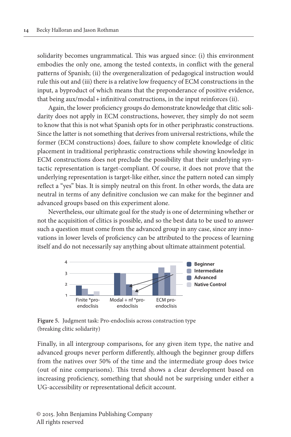solidarity becomes ungrammatical. This was argued since: (i) this environment embodies the only one, among the tested contexts, in conflict with the general patterns of Spanish; (ii) the overgeneralization of pedagogical instruction would rule this out and (iii) there is a relative low frequency of ECM constructions in the input, a byproduct of which means that the preponderance of positive evidence, that being aux/modal+infinitival constructions, in the input reinforces (ii).

Again, the lower proficiency groups do demonstrate knowledge that clitic solidarity does not apply in ECM constructions, however, they simply do not seem to know that this is not what Spanish opts for in other periphrastic constructions. Since the latter is not something that derives from universal restrictions, while the former (ECM constructions) does, failure to show complete knowledge of clitic placement in traditional periphrastic constructions while showing knowledge in ECM constructions does not preclude the possibility that their underlying syntactic representation is target-compliant. Of course, it does not prove that the underlying representation is target-like either, since the pattern noted can simply reflect a "yes" bias. It is simply neutral on this front. In other words, the data are neutral in terms of any definitive conclusion we can make for the beginner and advanced groups based on this experiment alone.

Nevertheless, our ultimate goal for the study is one of determining whether or not the acquisition of clitics is possible, and so the best data to be used to answer such a question must come from the advanced group in any case, since any innovations in lower levels of proficiency can be attributed to the process of learning itself and do not necessarily say anything about ultimate attainment potential.



**Figure 5.** Judgment task: Pro-endoclisis across construction type (breaking clitic solidarity)

Finally, in all intergroup comparisons, for any given item type, the native and advanced groups never perform differently, although the beginner group differs from the natives over 50% of the time and the intermediate group does twice (out of nine comparisons). This trend shows a clear development based on increasing proficiency, something that should not be surprising under either a UG-accessibility or representational deficit account.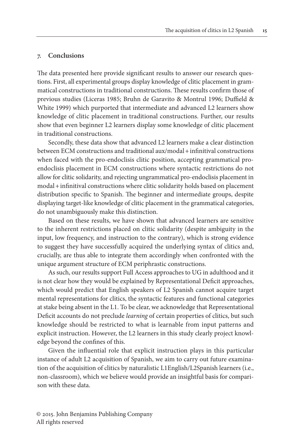# **7. Conclusions**

The data presented here provide significant results to answer our research questions. First, all experimental groups display knowledge of clitic placement in grammatical constructions in traditional constructions. These results confirm those of previous studies (Liceras 1985; Bruhn de Garavito & Montrul 1996; Duffield & White 1999) which purported that intermediate and advanced L2 learners show knowledge of clitic placement in traditional constructions. Further, our results show that even beginner L2 learners display some knowledge of clitic placement in traditional constructions.

Secondly, these data show that advanced L2 learners make a clear distinction between ECM constructions and traditional aux/modal + infinitival constructions when faced with the pro-endoclisis clitic position, accepting grammatical proendoclisis placement in ECM constructions where syntactic restrictions do not allow for clitic solidarity, and rejecting ungrammatical pro-endoclisis placement in modal+infinitival constructions where clitic solidarity holds based on placement distribution specific to Spanish. The beginner and intermediate groups, despite displaying target-like knowledge of clitic placement in the grammatical categories, do not unambiguously make this distinction.

Based on these results, we have shown that advanced learners are sensitive to the inherent restrictions placed on clitic solidarity (despite ambiguity in the input, low frequency, and instruction to the contrary), which is strong evidence to suggest they have successfully acquired the underlying syntax of clitics and, crucially, are thus able to integrate them accordingly when confronted with the unique argument structure of ECM periphrastic constructions.

As such, our results support Full Access approaches to UG in adulthood and it is not clear how they would be explained by Representational Deficit approaches, which would predict that English speakers of L2 Spanish cannot acquire target mental representations for clitics, the syntactic features and functional categories at stake being absent in the L1. To be clear, we acknowledge that Representational Deficit accounts do not preclude *learning* of certain properties of clitics, but such knowledge should be restricted to what is learnable from input patterns and explicit instruction. However, the L2 learners in this study clearly project knowledge beyond the confines of this.

Given the influential role that explicit instruction plays in this particular instance of adult L2 acquisition of Spanish, we aim to carry out future examination of the acquisition of clitics by naturalistic L1English/L2Spanish learners (i.e., non-classroom), which we believe would provide an insightful basis for comparison with these data.